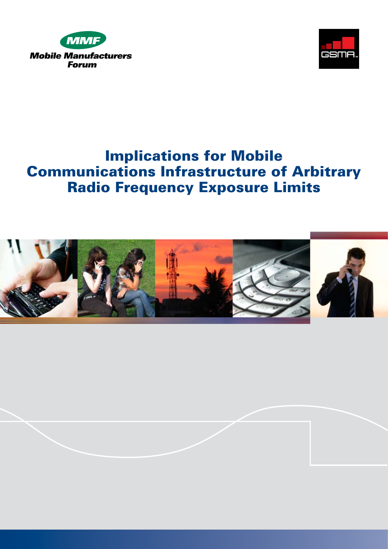



# Implications for Mobile Communications Infrastructure of Arbitrary Radio Frequency Exposure Limits

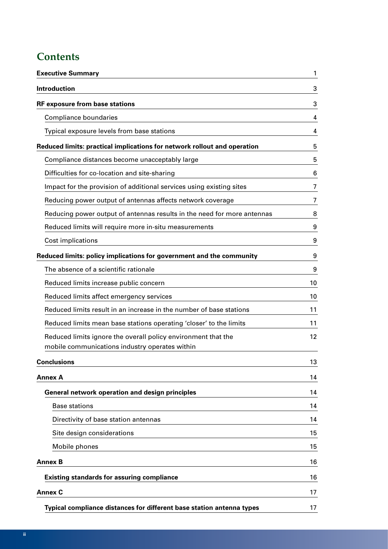# **Contents**

| <b>Executive Summary</b>                                                 | 1  |
|--------------------------------------------------------------------------|----|
| <b>Introduction</b>                                                      | 3  |
| <b>RF exposure from base stations</b>                                    | 3  |
| Compliance boundaries                                                    | 4  |
| Typical exposure levels from base stations                               | 4  |
| Reduced limits: practical implications for network rollout and operation | 5  |
| Compliance distances become unacceptably large                           | 5  |
| Difficulties for co-location and site-sharing                            | 6  |
| Impact for the provision of additional services using existing sites     | 7  |
| Reducing power output of antennas affects network coverage               | 7  |
| Reducing power output of antennas results in the need for more antennas  | 8  |
| Reduced limits will require more in-situ measurements                    | 9  |
| Cost implications                                                        | 9  |
| Reduced limits: policy implications for government and the community     | 9  |
| The absence of a scientific rationale                                    | 9  |
| Reduced limits increase public concern                                   | 10 |
| Reduced limits affect emergency services                                 | 10 |
| Reduced limits result in an increase in the number of base stations      | 11 |
| Reduced limits mean base stations operating 'closer' to the limits       | 11 |
| Reduced limits ignore the overall policy environment that the            | 12 |
| mobile communications industry operates within                           |    |
| <b>Conclusions</b>                                                       | 13 |
| <b>Annex A</b>                                                           | 14 |
| General network operation and design principles                          | 14 |
| <b>Base stations</b>                                                     | 14 |
| Directivity of base station antennas                                     | 14 |
| Site design considerations                                               | 15 |
| Mobile phones                                                            | 15 |
| <b>Annex B</b>                                                           | 16 |
| <b>Existing standards for assuring compliance</b>                        | 16 |
| <b>Annex C</b>                                                           | 17 |
| Typical compliance distances for different base station antenna types    | 17 |
|                                                                          |    |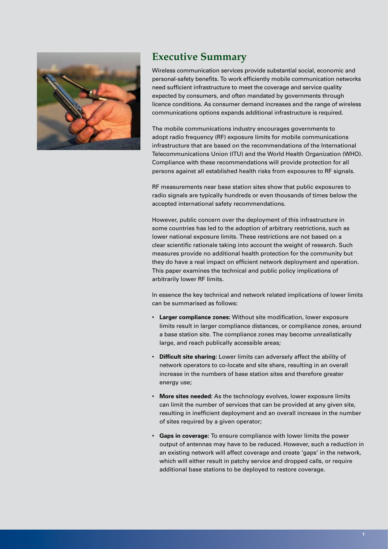

## **Executive Summary**

Wireless communication services provide substantial social, economic and personal-safety benefits. To work efficiently mobile communication networks need sufficient infrastructure to meet the coverage and service quality expected by consumers, and often mandated by governments through licence conditions. As consumer demand increases and the range of wireless communications options expands additional infrastructure is required.

The mobile communications industry encourages governments to adopt radio frequency (RF) exposure limits for mobile communications infrastructure that are based on the recommendations of the International Telecommunications Union (ITU) and the World Health Organization (WHO). Compliance with these recommendations will provide protection for all persons against all established health risks from exposures to RF signals.

RF measurements near base station sites show that public exposures to radio signals are typically hundreds or even thousands of times below the accepted international safety recommendations.

However, public concern over the deployment of this infrastructure in some countries has led to the adoption of arbitrary restrictions, such as lower national exposure limits. These restrictions are not based on a clear scientific rationale taking into account the weight of research. Such measures provide no additional health protection for the community but they do have a real impact on efficient network deployment and operation. This paper examines the technical and public policy implications of arbitrarily lower RF limits.

In essence the key technical and network related implications of lower limits can be summarised as follows:

- • **Larger compliance zones:** Without site modification, lower exposure limits result in larger compliance distances, or compliance zones, around a base station site. The compliance zones may become unrealistically large, and reach publically accessible areas;
- • **Difficult site sharing:** Lower limits can adversely affect the ability of network operators to co-locate and site share, resulting in an overall increase in the numbers of base station sites and therefore greater energy use;
- More sites needed: As the technology evolves, lower exposure limits can limit the number of services that can be provided at any given site, resulting in inefficient deployment and an overall increase in the number of sites required by a given operator;
- • **Gaps in coverage:** To ensure compliance with lower limits the power output of antennas may have to be reduced. However, such a reduction in an existing network will affect coverage and create 'gaps' in the network, which will either result in patchy service and dropped calls, or require additional base stations to be deployed to restore coverage.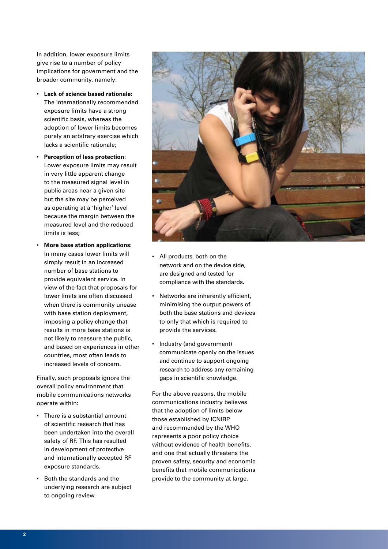In addition, lower exposure limits give rise to a number of policy implications for government and the broader community, namely:

- • **Lack of science based rationale:**  The internationally recommended exposure limits have a strong scientific basis, whereas the adoption of lower limits becomes purely an arbitrary exercise which lacks a scientific rationale;
- **Perception of less protection:** Lower exposure limits may result in very little apparent change to the measured signal level in public areas near a given site but the site may be perceived as operating at a 'higher' level because the margin between the measured level and the reduced limits is less;
- **More base station applications:** In many cases lower limits will simply result in an increased number of base stations to provide equivalent service. In view of the fact that proposals for lower limits are often discussed when there is community unease with base station deployment, imposing a policy change that results in more base stations is not likely to reassure the public, and based on experiences in other countries, most often leads to increased levels of concern.

Finally, such proposals ignore the overall policy environment that mobile communications networks operate within:

- • There is a substantial amount of scientific research that has been undertaken into the overall safety of RF. This has resulted in development of protective and internationally accepted RF exposure standards.
- • Both the standards and the underlying research are subject to ongoing review.



- All products, both on the network and on the device side, are designed and tested for compliance with the standards.
- Networks are inherently efficient, minimising the output powers of both the base stations and devices to only that which is required to provide the services.
- Industry (and government) communicate openly on the issues and continue to support ongoing research to address any remaining gaps in scientific knowledge.

For the above reasons, the mobile communications industry believes that the adoption of limits below those established by ICNIRP and recommended by the WHO represents a poor policy choice without evidence of health benefits, and one that actually threatens the proven safety, security and economic benefits that mobile communications provide to the community at large.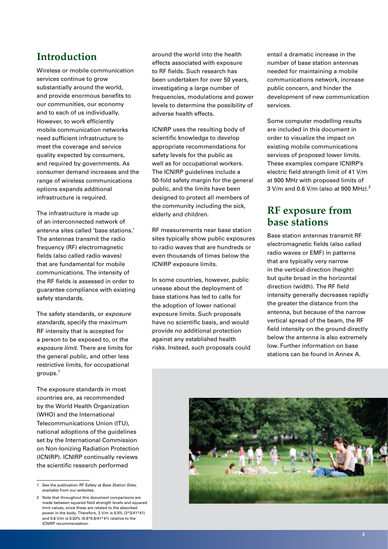# **Introduction**

Wireless or mobile communication services continue to grow substantially around the world, and provide enormous benefits to our communities, our economy and to each of us individually. However, to work efficiently mobile communication networks need sufficient infrastructure to meet the coverage and service quality expected by consumers, and required by governments. As consumer demand increases and the range of wireless communications options expands additional infrastructure is required.

The infrastructure is made up of an interconnected network of antenna sites called 'base stations.' The antennas transmit the radio frequency (RF) electromagnetic fields (also called radio waves) that are fundamental for mobile communications. The intensity of the RF fields is assessed in order to guarantee compliance with existing safety standards.

The safety standards, or *exposure standards*, specify the maximum RF intensity that is accepted for a person to be exposed to, or the *exposure limit*. There are limits for the general public, and other less restrictive limits, for occupational groups.1

The exposure standards in most countries are, as recommended by the World Health Organization (WHO) and the International Telecommunications Union (ITU), national adoptions of the guidelines set by the International Commission on Non-Ionizing Radiation Protection (ICNIRP). ICNIRP continually reviews the scientific research performed

around the world into the health effects associated with exposure to RF fields. Such research has been undertaken for over 50 years, investigating a large number of frequencies, modulations and power levels to determine the possibility of adverse health effects.

ICNIRP uses the resulting body of scientific knowledge to develop appropriate recommendations for safety levels for the public as well as for occupational workers. The ICNIRP guidelines include a 50-fold safety margin for the general public, and the limits have been designed to protect all members of the community including the sick, elderly and children.

RF measurements near base station sites typically show public exposures to radio waves that are hundreds or even thousands of times below the ICNIRP exposure limits.

In some countries, however, public unease about the deployment of base stations has led to calls for the adoption of lower national exposure limits. Such proposals have no scientific basis, and would provide no additional protection against any established health risks. Instead, such proposals could entail a dramatic increase in the number of base station antennas needed for maintaining a mobile communications network, increase public concern, and hinder the development of new communication services.

Some computer modelling results are included in this document in order to visualize the impact on existing mobile communications services of proposed lower limits. These examples compare ICNIRP's electric field strength limit of 41 V/m at 900 MHz with proposed limits of 3 V/m and 0.6 V/m (also at 900 MHz).<sup>2</sup>

# **RF exposure from base stations**

Base station antennas transmit RF electromagnetic fields (also called radio waves or EMF) in patterns that are typically very narrow in the vertical direction (height) but quite broad in the horizontal direction (width). The RF field intensity generally decreases rapidly the greater the distance from the antenna, but because of the narrow vertical spread of the beam, the RF field intensity on the ground directly below the antenna is also extremely low. Further information on base stations can be found in Annex A.



<sup>1</sup> See the publication *RF Safety at Base Station Sites*, available from our websites.

<sup>2</sup> Note that throughout this document comparisons are made between squared field strength levels and squared limit values, since these are related to the absorbed power in the body. Therefore, 3 V/m is 0.5% (3\*3/41\*41) and 0.6 V/m is 0.02% (0.6\*0.6/41\*41) relative to the ICNIRP recommendation.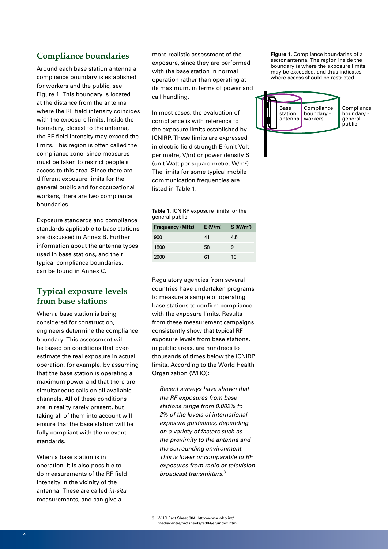#### **Compliance boundaries**

Around each base station antenna a compliance boundary is established for workers and the public, see Figure 1. This boundary is located at the distance from the antenna where the RF field intensity coincides with the exposure limits. Inside the boundary, closest to the antenna, the RF field intensity may exceed the limits. This region is often called the compliance zone, since measures must be taken to restrict people's access to this area. Since there are different exposure limits for the general public and for occupational workers, there are two compliance boundaries.

Exposure standards and compliance standards applicable to base stations are discussed in Annex B. Further information about the antenna types used in base stations, and their typical compliance boundaries, can be found in Annex C.

#### **Typical exposure levels from base stations**

When a base station is being considered for construction, engineers determine the compliance boundary. This assessment will be based on conditions that overestimate the real exposure in actual operation, for example, by assuming that the base station is operating a maximum power and that there are simultaneous calls on all available channels. All of these conditions are in reality rarely present, but taking all of them into account will ensure that the base station will be fully compliant with the relevant standards.

When a base station is in operation, it is also possible to do measurements of the RF field intensity in the vicinity of the antenna. These are called *in-situ*  measurements, and can give a

more realistic assessment of the exposure, since they are performed with the base station in normal operation rather than operating at its maximum, in terms of power and call handling.

In most cases, the evaluation of compliance is with reference to the exposure limits established by ICNIRP. These limits are expressed in electric field strength E (unit Volt per metre, V/m) or power density S (unit Watt per square metre, W/m2). The limits for some typical mobile communication frequencies are listed in Table 1.

|                | <b>Table 1. ICNIRP exposure limits for the</b> |  |  |
|----------------|------------------------------------------------|--|--|
| general public |                                                |  |  |

| <b>Frequency (MHz)</b> | E(V/m) | S(W/m <sup>2</sup> ) |
|------------------------|--------|----------------------|
| 900                    | 41     | 4.5                  |
| 1800                   | 58     | 9                    |
| 2000                   | 61     | 10                   |

Regulatory agencies from several countries have undertaken programs to measure a sample of operating base stations to confirm compliance with the exposure limits. Results from these measurement campaigns consistently show that typical RF exposure levels from base stations, in public areas, are hundreds to thousands of times below the ICNIRP limits. According to the World Health Organization (WHO):

*Recent surveys have shown that the RF exposures from base stations range from 0.002% to 2% of the levels of international exposure guidelines, depending on a variety of factors such as the proximity to the antenna and the surrounding environment. This is lower or comparable to RF exposures from radio or television broadcast transmitters.*<sup>3</sup>

**Figure 1.** Compliance boundaries of a sector antenna. The region inside the boundary is where the exposure limits may be exceeded, and thus indicates where access should be restricted.



<sup>3</sup> WHO Fact Sheet 304: http://www.who.int/ mediacentre/factsheets/fs304/en/index.html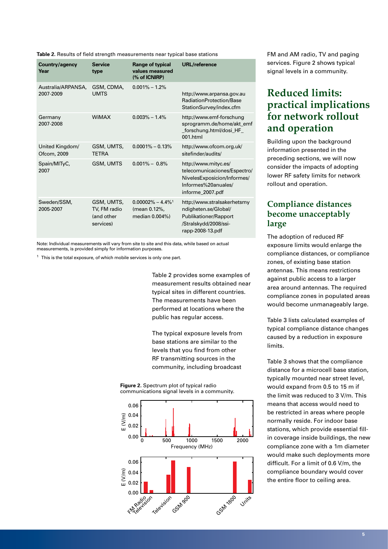**Table 2.** Results of field strength measurements near typical base stations

| Country/agency<br>Year          | <b>Service</b><br>type                                | Range of typical<br>values measured<br>(% of ICNIRP)               | <b>URL/reference</b>                                                                                                           |
|---------------------------------|-------------------------------------------------------|--------------------------------------------------------------------|--------------------------------------------------------------------------------------------------------------------------------|
| Australia/ARPANSA,<br>2007-2009 | GSM, CDMA,<br><b>UMTS</b>                             | $0.001\% - 1.2\%$                                                  | http://www.arpansa.gov.au<br>RadiationProtection/Base<br>StationSurvey/index.cfm                                               |
| Germany<br>2007-2008            | <b>WiMAX</b>                                          | $0.003\% - 1.4\%$                                                  | http://www.emf-forschung<br>sprogramm.de/home/akt_emf<br>_forschung.html/dosi_HF_<br>001.html                                  |
| United Kingdom/<br>Ofcom, 2009  | GSM, UMTS,<br><b>TFTRA</b>                            | $0.0001\% - 0.13\%$                                                | http://www.ofcom.org.uk/<br>sitefinder/audits/                                                                                 |
| Spain/MITyC,<br>2007            | <b>GSM, UMTS</b>                                      | $0.001\% - 0.8\%$                                                  | http://www.mityc.es/<br>telecomunicaciones/Espectro/<br>NivelesExposicion/Informes/<br>Informes%20anuales/<br>informe 2007.pdf |
| Sweden/SSM,<br>2005-2007        | GSM, UMTS,<br>TV, FM radio<br>(and other<br>services) | $0.00002\% - 4.4\%$ <sup>1</sup><br>(mean 0.12%,<br>median 0.004%) | http://www.stralsakerhetsmy<br>ndigheten.se/Global/<br>Publikationer/Rapport<br>/Stralskydd/2008/ssi-<br>rapp-2008-13.pdf      |

Note: Individual measurements will vary from site to site and this data, while based on actual measurements, is provided simply for information purposes.

 $1$  This is the total exposure, of which mobile services is only one part.

Table 2 provides some examples of measurement results obtained near typical sites in different countries. The measurements have been performed at locations where the public has regular access.

The typical exposure levels from base stations are similar to the levels that you find from other RF transmitting sources in the community, including broadcast

**Figure 2.** Spectrum plot of typical radio communications signal levels in a community.



FM and AM radio, TV and paging services. Figure 2 shows typical signal levels in a community.

# **Reduced limits: practical implications for network rollout and operation**

Building upon the background information presented in the preceding sections, we will now consider the impacts of adopting lower RF safety limits for network rollout and operation.

## **Compliance distances become unacceptably large**

The adoption of reduced RF exposure limits would enlarge the compliance distances, or compliance zones, of existing base station antennas. This means restrictions against public access to a larger area around antennas. The required compliance zones in populated areas would become unmanageably large.

Table 3 lists calculated examples of typical compliance distance changes caused by a reduction in exposure limits.

Table 3 shows that the compliance distance for a microcell base station, typically mounted near street level, would expand from 0.5 to 15 m if the limit was reduced to 3 V/m. This means that access would need to be restricted in areas where people normally reside. For indoor base stations, which provide essential fillin coverage inside buildings, the new compliance zone with a 1m diameter would make such deployments more difficult. For a limit of 0.6 V/m, the compliance boundary would cover the entire floor to ceiling area.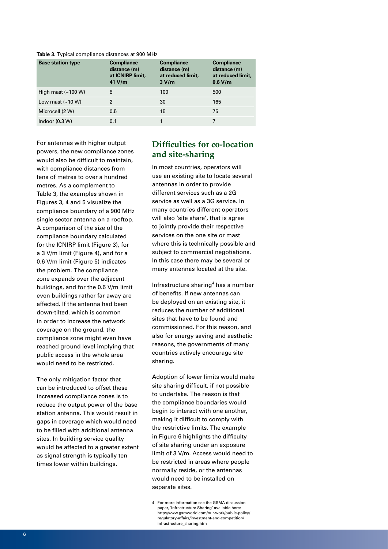**Table 3.** Typical compliance distances at 900 MHz

| <b>Base station type</b> | <b>Compliance</b><br>distance (m)<br>at ICNIRP limit.<br>41 V/m | <b>Compliance</b><br>distance (m)<br>at reduced limit.<br>3 V/m | <b>Compliance</b><br>distance (m)<br>at reduced limit,<br>0.6 V/m |
|--------------------------|-----------------------------------------------------------------|-----------------------------------------------------------------|-------------------------------------------------------------------|
| High mast $($ ~100 W)    | 8                                                               | 100                                                             | 500                                                               |
| Low mast $(~10 W)$       | $\mathfrak{p}$                                                  | 30                                                              | 165                                                               |
| Microcell (2 W)          | 0.5                                                             | 15                                                              | 75                                                                |
| Indoor $(0.3 W)$         | 0.1                                                             |                                                                 |                                                                   |

For antennas with higher output powers, the new compliance zones would also be difficult to maintain, with compliance distances from tens of metres to over a hundred metres. As a complement to Table 3, the examples shown in Figures 3, 4 and 5 visualize the compliance boundary of a 900 MHz single sector antenna on a rooftop. A comparison of the size of the compliance boundary calculated for the ICNIRP limit (Figure 3), for a 3 V/m limit (Figure 4), and for a 0.6 V/m limit (Figure 5) indicates the problem. The compliance zone expands over the adjacent buildings, and for the 0.6 V/m limit even buildings rather far away are affected. If the antenna had been down-tilted, which is common in order to increase the network coverage on the ground, the compliance zone might even have reached ground level implying that public access in the whole area would need to be restricted.

The only mitigation factor that can be introduced to offset these increased compliance zones is to reduce the output power of the base station antenna. This would result in gaps in coverage which would need to be filled with additional antenna sites. In building service quality would be affected to a greater extent as signal strength is typically ten times lower within buildings.

#### **Difficulties for co-location and site-sharing**

In most countries, operators will use an existing site to locate several antennas in order to provide different services such as a 2G service as well as a 3G service. In many countries different operators will also 'site share', that is agree to jointly provide their respective services on the one site or mast where this is technically possible and subject to commercial negotiations. In this case there may be several or many antennas located at the site.

Infrastructure sharing<sup>4</sup> has a number of benefits. If new antennas can be deployed on an existing site, it reduces the number of additional sites that have to be found and commissioned. For this reason, and also for energy saving and aesthetic reasons, the governments of many countries actively encourage site sharing.

Adoption of lower limits would make site sharing difficult, if not possible to undertake. The reason is that the compliance boundaries would begin to interact with one another, making it difficult to comply with the restrictive limits. The example in Figure 6 highlights the difficulty of site sharing under an exposure limit of 3 V/m. Access would need to be restricted in areas where people normally reside, or the antennas would need to be installed on separate sites.

<sup>4</sup> For more information see the GSMA discussion paper, 'Infrastructure Sharing' available here: http://www.gsmworld.com/our-work/public-policy/ regulatory-affairs/investment-and-competition/ infrastructure\_sharing.htm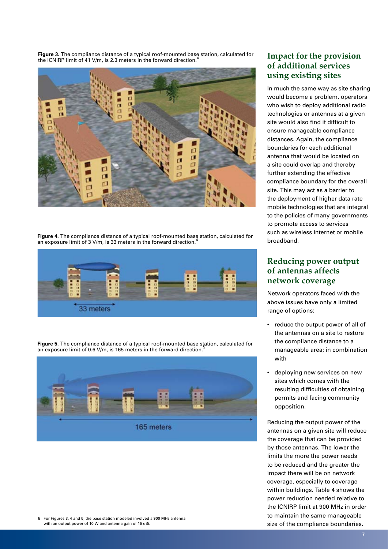**Figure 3.** The compliance distance of a typical roof-mounted base station, calculated for the ICNIRP limit of 41 V/m, is 2.3 meters in the forward direction.<sup>4</sup>



**Figure 4.** The compliance distance of a typical roof-mounted base station, calculated for an exposure limit of 3 V/m, is 33 meters in the forward direction.4



**Figure 5.** The compliance distance of a typical roof-mounted base station, calculated for an exposure limit of 0.6 V/m, is 165 meters in the forward direction.



5 For Figures 3, 4 and 5, the base station modeled involved a 900 MHz antenna with an output power of 10 W and antenna gain of 15 dBi.

## **Impact for the provision of additional services using existing sites**

In much the same way as site sharing would become a problem, operators who wish to deploy additional radio technologies or antennas at a given site would also find it difficult to ensure manageable compliance distances. Again, the compliance boundaries for each additional antenna that would be located on a site could overlap and thereby further extending the effective compliance boundary for the overall site. This may act as a barrier to the deployment of higher data rate mobile technologies that are integral to the policies of many governments to promote access to services such as wireless internet or mobile broadband.

## **Reducing power output of antennas affects network coverage**

Network operators faced with the above issues have only a limited range of options:

- • reduce the output power of all of the antennas on a site to restore the compliance distance to a manageable area; in combination with
- deploying new services on new sites which comes with the resulting difficulties of obtaining permits and facing community opposition.

Reducing the output power of the antennas on a given site will reduce the coverage that can be provided by those antennas. The lower the limits the more the power needs to be reduced and the greater the impact there will be on network coverage, especially to coverage within buildings. Table 4 shows the power reduction needed relative to the ICNIRP limit at 900 MHz in order to maintain the same manageable size of the compliance boundaries.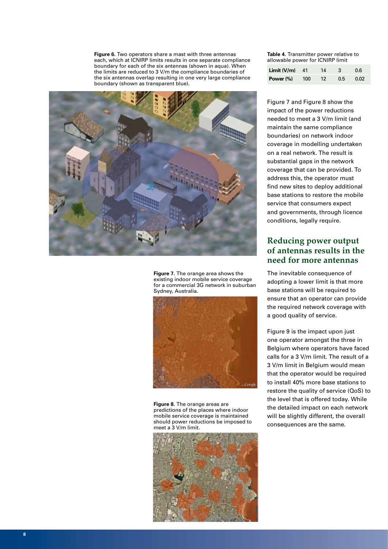**Figure 6.** Two operators share a mast with three antennas each, which at ICNIRP limits results in one separate compliance boundary for each of the six antennas (shown in aqua). When the limits are reduced to 3 V/m the compliance boundaries of the six antennas overlap resulting in one very large compliance boundary (shown as transparent blue).



**Figure 7.** The orange area shows the existing indoor mobile service coverage for a commercial 3G network in suburban Sydney, Australia.



**Figure 8.** The orange areas are predictions of the places where indoor mobile service coverage is maintained should power reductions be imposed to meet a 3 V/m limit.



**Table 4.** Transmitter power relative to allowable power for ICNIRP limit

| <b>Limit <math>(V/m)</math></b> 41 |     | 14              | 3   | 0.6  |
|------------------------------------|-----|-----------------|-----|------|
| Power (%)                          | 100 | 12 <sup>°</sup> | 0.5 | 0.02 |

Figure 7 and Figure 8 show the impact of the power reductions needed to meet a 3 V/m limit (and maintain the same compliance boundaries) on network indoor coverage in modelling undertaken on a real network. The result is substantial gaps in the network coverage that can be provided. To address this, the operator must find new sites to deploy additional base stations to restore the mobile service that consumers expect and governments, through licence conditions, legally require.

#### **Reducing power output of antennas results in the need for more antennas**

The inevitable consequence of adopting a lower limit is that more base stations will be required to ensure that an operator can provide the required network coverage with a good quality of service.

Figure 9 is the impact upon just one operator amongst the three in Belgium where operators have faced calls for a 3 V/m limit. The result of a 3 V/m limit in Belgium would mean that the operator would be required to install 40% more base stations to restore the quality of service (QoS) to the level that is offered today. While the detailed impact on each network will be slightly different, the overall consequences are the same.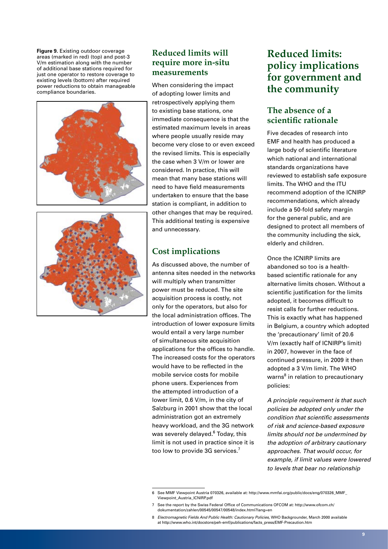**Figure 9.** Existing outdoor coverage areas (marked in red) (top) and post-3 V/m estimation along with the number of additional base stations required for just one operator to restore coverage to existing levels (bottom) after required power reductions to obtain manageable compliance boundaries.



#### **Reduced limits will require more in-situ measurements**

When considering the impact of adopting lower limits and retrospectively applying them to existing base stations, one immediate consequence is that the estimated maximum levels in areas where people usually reside may become very close to or even exceed the revised limits. This is especially the case when 3 V/m or lower are considered. In practice, this will mean that many base stations will need to have field measurements undertaken to ensure that the base station is compliant, in addition to other changes that may be required. This additional testing is expensive and unnecessary.

## **Cost implications**

As discussed above, the number of antenna sites needed in the networks will multiply when transmitter power must be reduced. The site acquisition process is costly, not only for the operators, but also for the local administration offices. The introduction of lower exposure limits would entail a very large number of simultaneous site acquisition applications for the offices to handle. The increased costs for the operators would have to be reflected in the mobile service costs for mobile phone users. Experiences from the attempted introduction of a lower limit, 0.6 V/m, in the city of Salzburg in 2001 show that the local administration got an extremely heavy workload, and the 3G network was severely delayed.<sup>6</sup> Today, this limit is not used in practice since it is too low to provide 3G services.<sup>7</sup>

# **Reduced limits: policy implications for government and the community**

## **The absence of a scientific rationale**

Five decades of research into EMF and health has produced a large body of scientific literature which national and international standards organizations have reviewed to establish safe exposure limits. The WHO and the ITU recommend adoption of the ICNIRP recommendations, which already include a 50-fold safety margin for the general public, and are designed to protect all members of the community including the sick, elderly and children.

Once the ICNIRP limits are abandoned so too is a healthbased scientific rationale for any alternative limits chosen. Without a scientific justification for the limits adopted, it becomes difficult to resist calls for further reductions. This is exactly what has happened in Belgium, a country which adopted the 'precautionary' limit of 20.6 V/m (exactly half of ICNIRP's limit) in 2007, however in the face of continued pressure, in 2009 it then adopted a 3 V/m limit. The WHO warns<sup>8</sup> in relation to precautionary policies:

*A principle requirement is that such policies be adopted only under the condition that scientific assessments of risk and science-based exposure limits should not be undermined by the adoption of arbitrary cautionary approaches. That would occur, for example, if limit values were lowered to levels that bear no relationship* 

7 See the report by the Swiss Federal Office of Communications OFCOM at: http://www.ofcom.ch/ dokumentation/zahlen/00545/00547/00548/index.html?lang=en

<sup>6</sup> See MMF Viewpoint Austria 070326, available at: http://www.mmfai.org/public/docs/eng/070326\_MMF\_ Viewpoint\_Austria\_ICNIRP.pdf

<sup>8</sup> *Electromagnetic Fields And Public Health: Cautionary Policies,* WHO Backgrounder, March 2000 available at http://www.who.int/docstore/peh-emf/publications/facts\_press/EMF-Precaution.htm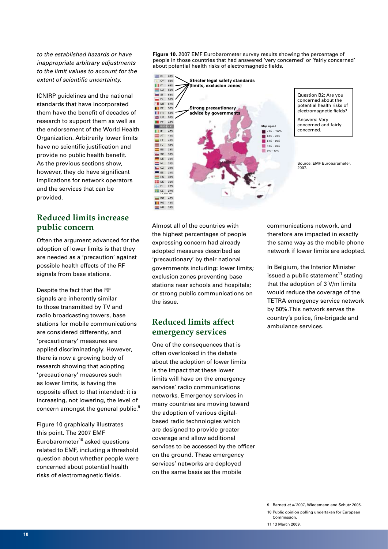*to the established hazards or have inappropriate arbitrary adjustments to the limit values to account for the extent of scientific uncertainty.*

ICNIRP guidelines and the national standards that have incorporated them have the benefit of decades of research to support them as well as the endorsement of the World Health Organization. Arbitrarily lower limits have no scientific justification and provide no public health benefit. As the previous sections show, however, they do have significant implications for network operators and the services that can be provided.

#### **Reduced limits increase public concern**

Often the argument advanced for the adoption of lower limits is that they are needed as a 'precaution' against possible health effects of the RF signals from base stations.

Despite the fact that the RF signals are inherently similar to those transmitted by TV and radio broadcasting towers, base stations for mobile communications are considered differently, and 'precautionary' measures are applied discriminatingly. However, there is now a growing body of research showing that adopting 'precautionary' measures such as lower limits, is having the opposite effect to that intended: it is increasing, not lowering, the level of concern amongst the general public.<sup>9</sup>

Figure 10 graphically illustrates this point. The 2007 EMF Eurobarometer $10$  asked questions related to EMF, including a threshold question about whether people were concerned about potential health risks of electromagnetic fields.

**Figure 10.** 2007 EMF Eurobarometer survey results showing the percentage of people in those countries that had answered 'very concerned' or 'fairly concerned' about potential health risks of electromagnetic fields.



Question B2: Are you concerned about the potential health risks of electromagnetic fields?

Answers: Very concerned and fairly concerned.

Source: EMF Eurobarometer, 2007.

Almost all of the countries with the highest percentages of people expressing concern had already adopted measures described as 'precautionary' by their national governments including: lower limits; exclusion zones preventing base stations near schools and hospitals; or strong public communications on the issue.

#### **Reduced limits affect emergency services**

One of the consequences that is often overlooked in the debate about the adoption of lower limits is the impact that these lower limits will have on the emergency services' radio communications networks. Emergency services in many countries are moving toward the adoption of various digitalbased radio technologies which are designed to provide greater coverage and allow additional services to be accessed by the officer on the ground. These emergency services' networks are deployed on the same basis as the mobile

communications network, and therefore are impacted in exactly the same way as the mobile phone network if lower limits are adopted.

In Belgium, the Interior Minister issued a public statement $11$  stating that the adoption of 3 V/m limits would reduce the coverage of the TETRA emergency service network by 50%.This network serves the country's police, fire-brigade and ambulance services.

<sup>9</sup> Barnett *et al* 2007, Wiedemann and Schutz 2005.

<sup>10</sup> Public opinion polling undertaken for European Commission.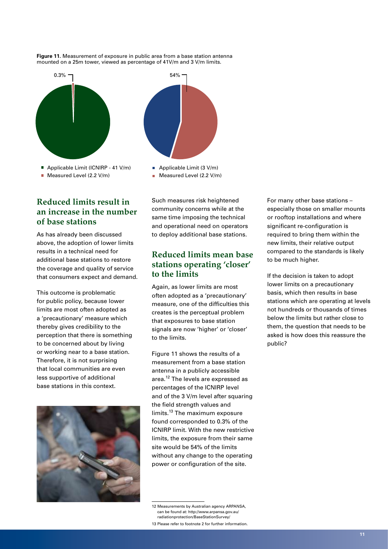



Applicable Limit (3 V/m) Measured Level (2.2 V/m)

## **Reduced limits result in an increase in the number of base stations**

As has already been discussed above, the adoption of lower limits results in a technical need for additional base stations to restore the coverage and quality of service that consumers expect and demand.

This outcome is problematic for public policy, because lower limits are most often adopted as a 'precautionary' measure which thereby gives credibility to the perception that there is something to be concerned about by living or working near to a base station. Therefore, it is not surprising that local communities are even less supportive of additional base stations in this context.



Such measures risk heightened community concerns while at the same time imposing the technical and operational need on operators to deploy additional base stations.

#### **Reduced limits mean base stations operating 'closer' to the limits**

Again, as lower limits are most often adopted as a 'precautionary' measure, one of the difficulties this creates is the perceptual problem that exposures to base station signals are now 'higher' or 'closer' to the limits.

Figure 11 shows the results of a measurement from a base station antenna in a publicly accessible area.<sup>12</sup> The levels are expressed as percentages of the ICNIRP level and of the 3 V/m level after squaring the field strength values and limits.13 The maximum exposure found corresponded to 0.3% of the ICNIRP limit. With the new restrictive limits, the exposure from their same site would be 54% of the limits without any change to the operating power or configuration of the site.

12 Measurements by Australian agency ARPANSA, can be found at: http://www.arpansa.gov.au/ radiationprotection/BaseStationSurvey/

13 Please refer to footnote 2 for further information.

For many other base stations – especially those on smaller mounts or rooftop installations and where significant re-configuration is required to bring them within the new limits, their relative output compared to the standards is likely to be much higher.

If the decision is taken to adopt lower limits on a precautionary basis, which then results in base stations which are operating at levels not hundreds or thousands of times below the limits but rather close to them, the question that needs to be asked is how does this reassure the public?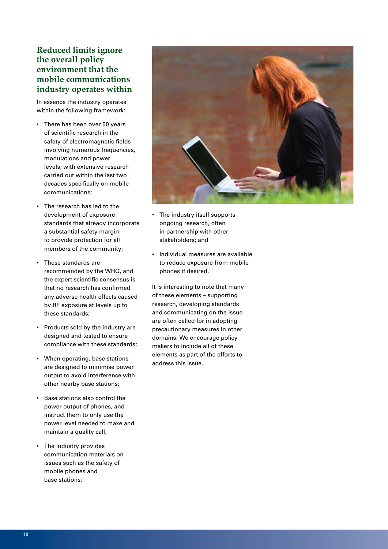## **Reduced limits ignore the overall policy environment that the mobile communications industry operates within**

In essence the industry operates within the following framework:

- There has been over 50 years of scientific research in the safety of electromagnetic fields involving numerous frequencies, modulations and power levels; with extensive research carried out within the last two decades specifically on mobile communications;
- The research has led to the development of exposure standards that already incorporate a substantial safety margin to provide protection for all members of the community;
- • These standards are recommended by the WHO, and the expert scientific consensus is that no research has confirmed any adverse health effects caused by RF exposure at levels up to these standards;
- • Products sold by the industry are designed and tested to ensure compliance with these standards;
- • When operating, base stations are designed to minimise power output to avoid interference with other nearby base stations;
- • Base stations also control the power output of phones, and instruct them to only use the power level needed to make and maintain a quality call;
- • The industry provides communication materials on issues such as the safety of mobile phones and base stations;



- The industry itself supports ongoing research, often in partnership with other stakeholders; and
- • Individual measures are available to reduce exposure from mobile phones if desired.

It is interesting to note that many of these elements – supporting research, developing standards and communicating on the issue are often called for in adopting precautionary measures in other domains. We encourage policy makers to include all of these elements as part of the efforts to address this issue.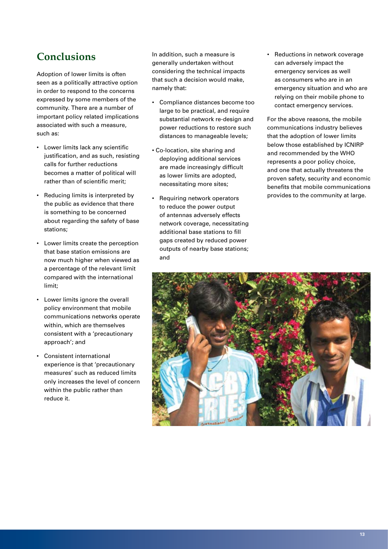# **Conclusions**

Adoption of lower limits is often seen as a politically attractive option in order to respond to the concerns expressed by some members of the community. There are a number of important policy related implications associated with such a measure, such as:

- • Lower limits lack any scientific justification, and as such, resisting calls for further reductions becomes a matter of political will rather than of scientific merit;
- • Reducing limits is interpreted by the public as evidence that there is something to be concerned about regarding the safety of base stations;
- • Lower limits create the perception that base station emissions are now much higher when viewed as a percentage of the relevant limit compared with the international limit;
- • Lower limits ignore the overall policy environment that mobile communications networks operate within, which are themselves consistent with a 'precautionary approach'; and
- • Consistent international experience is that 'precautionary measures' such as reduced limits only increases the level of concern within the public rather than reduce it.

In addition, such a measure is generally undertaken without considering the technical impacts that such a decision would make, namely that:

- Compliance distances become too large to be practical, and require substantial network re-design and power reductions to restore such distances to manageable levels;
- Co-location, site sharing and deploying additional services are made increasingly difficult as lower limits are adopted, necessitating more sites;
- Requiring network operators to reduce the power output of antennas adversely effects network coverage, necessitating additional base stations to fill gaps created by reduced power outputs of nearby base stations; and

• Reductions in network coverage can adversely impact the emergency services as well as consumers who are in an emergency situation and who are relying on their mobile phone to contact emergency services.

For the above reasons, the mobile communications industry believes that the adoption of lower limits below those established by ICNIRP and recommended by the WHO represents a poor policy choice, and one that actually threatens the proven safety, security and economic benefits that mobile communications provides to the community at large.

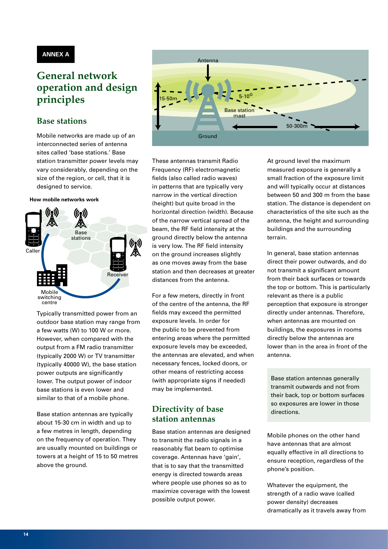#### **ANNEX A**

# **General network operation and design principles**

## **Base stations**

Mobile networks are made up of an interconnected series of antenna sites called 'base stations.' Base station transmitter power levels may vary considerably, depending on the size of the region, or cell, that it is designed to service.

#### **How mobile networks work**



Typically transmitted power from an outdoor base station may range from a few watts (W) to 100 W or more. However, when compared with the output from a FM radio transmitter (typically 2000 W) or TV transmitter (typically 40000 W), the base station power outputs are significantly lower. The output power of indoor base stations is even lower and similar to that of a mobile phone.

Base station antennas are typically about 15-30 cm in width and up to a few metres in length, depending on the frequency of operation. They are usually mounted on buildings or towers at a height of 15 to 50 metres above the ground.



These antennas transmit Radio Frequency (RF) electromagnetic fields (also called radio waves) in patterns that are typically very narrow in the vertical direction (height) but quite broad in the horizontal direction (width). Because of the narrow vertical spread of the beam, the RF field intensity at the ground directly below the antenna is very low. The RF field intensity on the ground increases slightly as one moves away from the base station and then decreases at greater distances from the antenna.

For a few meters, directly in front of the centre of the antenna, the RF fields may exceed the permitted exposure levels. In order for the public to be prevented from entering areas where the permitted exposure levels may be exceeded, the antennas are elevated, and when necessary fences, locked doors, or other means of restricting access (with appropriate signs if needed) may be implemented.

#### **Directivity of base station antennas**

Base station antennas are designed to transmit the radio signals in a reasonably flat beam to optimise coverage. Antennas have 'gain', that is to say that the transmitted energy is directed towards areas where people use phones so as to maximize coverage with the lowest possible output power.

At ground level the maximum measured exposure is generally a small fraction of the exposure limit and will typically occur at distances between 50 and 300 m from the base station. The distance is dependent on characteristics of the site such as the antenna, the height and surrounding buildings and the surrounding terrain.

In general, base station antennas direct their power outwards, and do not transmit a significant amount from their back surfaces or towards the top or bottom. This is particularly relevant as there is a public perception that exposure is stronger directly under antennas. Therefore, when antennas are mounted on buildings, the exposures in rooms directly below the antennas are lower than in the area in front of the antenna.

Base station antennas generally transmit outwards and not from their back, top or bottom surfaces so exposures are lower in those directions.

Mobile phones on the other hand have antennas that are almost equally effective in all directions to ensure reception, regardless of the phone's position.

Whatever the equipment, the strength of a radio wave (called power density) decreases dramatically as it travels away from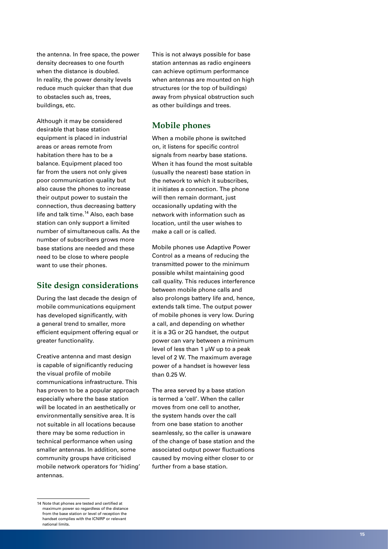the antenna. In free space, the power density decreases to one fourth when the distance is doubled. In reality, the power density levels reduce much quicker than that due to obstacles such as, trees, buildings, etc.

Although it may be considered desirable that base station equipment is placed in industrial areas or areas remote from habitation there has to be a balance. Equipment placed too far from the users not only gives poor communication quality but also cause the phones to increase their output power to sustain the connection, thus decreasing battery life and talk time.<sup>14</sup> Also, each base station can only support a limited number of simultaneous calls. As the number of subscribers grows more base stations are needed and these need to be close to where people want to use their phones.

#### **Site design considerations**

During the last decade the design of mobile communications equipment has developed significantly, with a general trend to smaller, more efficient equipment offering equal or greater functionality.

Creative antenna and mast design is capable of significantly reducing the visual profile of mobile communications infrastructure. This has proven to be a popular approach especially where the base station will be located in an aesthetically or environmentally sensitive area. It is not suitable in all locations because there may be some reduction in technical performance when using smaller antennas. In addition, some community groups have criticised mobile network operators for 'hiding' antennas.

This is not always possible for base station antennas as radio engineers can achieve optimum performance when antennas are mounted on high structures (or the top of buildings) away from physical obstruction such as other buildings and trees.

## **Mobile phones**

When a mobile phone is switched on, it listens for specific control signals from nearby base stations. When it has found the most suitable (usually the nearest) base station in the network to which it subscribes, it initiates a connection. The phone will then remain dormant, just occasionally updating with the network with information such as location, until the user wishes to make a call or is called.

Mobile phones use Adaptive Power Control as a means of reducing the transmitted power to the minimum possible whilst maintaining good call quality. This reduces interference between mobile phone calls and also prolongs battery life and, hence, extends talk time. The output power of mobile phones is very low. During a call, and depending on whether it is a 3G or 2G handset, the output power can vary between a minimum level of less than 1 μW up to a peak level of 2 W. The maximum average power of a handset is however less than 0.25 W.

The area served by a base station is termed a 'cell'. When the caller moves from one cell to another, the system hands over the call from one base station to another seamlessly, so the caller is unaware of the change of base station and the associated output power fluctuations caused by moving either closer to or further from a base station.

<sup>14</sup> Note that phones are tested and certified at maximum power so regardless of the distance from the base station or level of reception the handset complies with the ICNIRP or relevant national limits.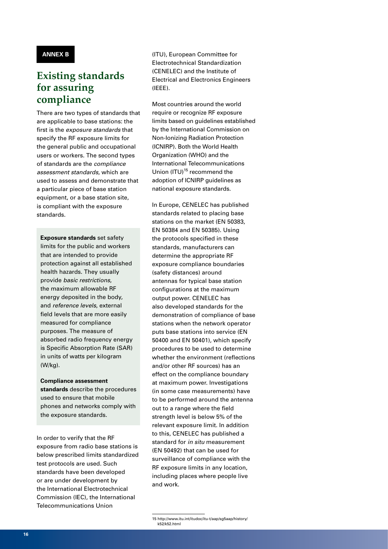#### **ANNEX B**

# **Existing standards for assuring compliance**

There are two types of standards that are applicable to base stations: the first is the *exposure standards* that specify the RF exposure limits for the general public and occupational users or workers. The second types of standards are the *compliance assessment standards,* which are used to assess and demonstrate that a particular piece of base station equipment, or a base station site, is compliant with the exposure standards.

**Exposure standards** set safety limits for the public and workers that are intended to provide protection against all established health hazards. They usually provide *basic restrictions*, the maximum allowable RF energy deposited in the body, and *reference levels*, external field levels that are more easily measured for compliance purposes. The measure of absorbed radio frequency energy is Specific Absorption Rate (SAR) in units of watts per kilogram (W/kg).

**Compliance assessment standards** describe the procedures used to ensure that mobile phones and networks comply with the exposure standards.

In order to verify that the RF exposure from radio base stations is below prescribed limits standardized test protocols are used. Such standards have been developed or are under development by the International Electrotechnical Commission (IEC), the International Telecommunications Union

(ITU), European Committee for Electrotechnical Standardization (CENELEC) and the Institute of Electrical and Electronics Engineers (IEEE).

Most countries around the world require or recognize RF exposure limits based on guidelines established by the International Commission on Non-Ionizing Radiation Protection (ICNIRP). Both the World Health Organization (WHO) and the International Telecommunications Union (ITU)<sup>15</sup> recommend the adoption of ICNIRP guidelines as national exposure standards.

In Europe, CENELEC has published standards related to placing base stations on the market (EN 50383, EN 50384 and EN 50385). Using the protocols specified in these standards, manufacturers can determine the appropriate RF exposure compliance boundaries (safety distances) around antennas for typical base station configurations at the maximum output power. CENELEC has also developed standards for the demonstration of compliance of base stations when the network operator puts base stations into service (EN 50400 and EN 50401), which specify procedures to be used to determine whether the environment (reflections and/or other RF sources) has an effect on the compliance boundary at maximum power. Investigations (in some case measurements) have to be performed around the antenna out to a range where the field strength level is below 5% of the relevant exposure limit. In addition to this, CENELEC has published a standard for *in situ* measurement (EN 50492) that can be used for surveillance of compliance with the RF exposure limits in any location, including places where people live and work.

<sup>15</sup> http://www.itu.int/itudoc/itu-t/aap/sg5aap/history/ k52/k52.html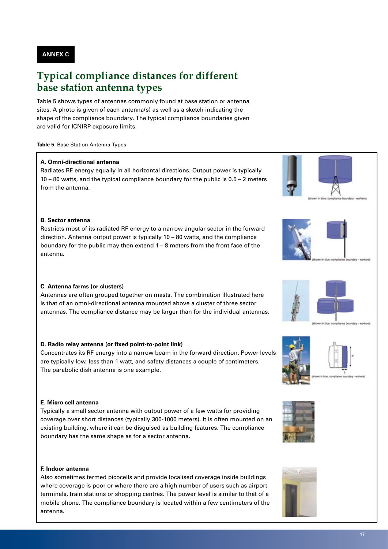**ANNEX C**

# **Typical compliance distances for different base station antenna types**

Table 5 shows types of antennas commonly found at base station or antenna sites. A photo is given of each antenna(s) as well as a sketch indicating the shape of the compliance boundary. The typical compliance boundaries given are valid for ICNIRP exposure limits.

#### **Table 5.** Base Station Antenna Types

#### **A. Omni-directional antenna**

Radiates RF energy equally in all horizontal directions. Output power is typically 10 – 80 watts, and the typical compliance boundary for the public is 0.5 – 2 meters from the antenna.

#### **B. Sector antenna**

Restricts most of its radiated RF energy to a narrow angular sector in the forward direction. Antenna output power is typically 10 – 80 watts, and the compliance boundary for the public may then extend 1 – 8 meters from the front face of the antenna.

#### **C. Antenna farms (or clusters)**

Antennas are often grouped together on masts. The combination illustrated here is that of an omni-directional antenna mounted above a cluster of three sector antennas. The compliance distance may be larger than for the individual antennas.

#### **D. Radio relay antenna (or fixed point-to-point link)**

Concentrates its RF energy into a narrow beam in the forward direction. Power levels are typically low, less than 1 watt, and safety distances a couple of centimeters. The parabolic dish antenna is one example.

#### **E. Micro cell antenna**

Typically a small sector antenna with output power of a few watts for providing coverage over short distances (typically 300-1000 meters). It is often mounted on an existing building, where it can be disguised as building features. The compliance boundary has the same shape as for a sector antenna.

#### **F. Indoor antenna**

Also sometimes termed picocells and provide localised coverage inside buildings where coverage is poor or where there are a high number of users such as airport terminals, train stations or shopping centres. The power level is similar to that of a mobile phone. The compliance boundary is located within a few centimeters of the antenna.